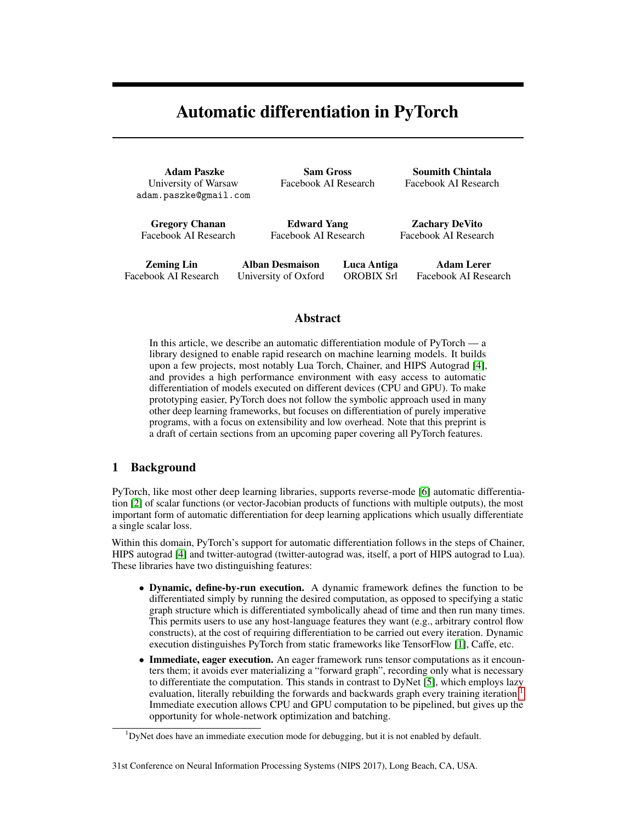# Automatic differentiation in PyTorch

Adam Paszke University of Warsaw adam.paszke@gmail.com

Sam Gross Facebook AI Research

Soumith Chintala Facebook AI Research

Gregory Chanan Facebook AI Research

Edward Yang Facebook AI Research

Zachary DeVito Facebook AI Research

Zeming Lin Facebook AI Research

Alban Desmaison University of Oxford Luca Antiga OROBIX Srl

Adam Lerer Facebook AI Research

### Abstract

In this article, we describe an automatic differentiation module of PyTorch — a library designed to enable rapid research on machine learning models. It builds upon a few projects, most notably Lua Torch, Chainer, and HIPS Autograd [\[4\]](#page-3-0), and provides a high performance environment with easy access to automatic differentiation of models executed on different devices (CPU and GPU). To make prototyping easier, PyTorch does not follow the symbolic approach used in many other deep learning frameworks, but focuses on differentiation of purely imperative programs, with a focus on extensibility and low overhead. Note that this preprint is a draft of certain sections from an upcoming paper covering all PyTorch features.

### 1 Background

PyTorch, like most other deep learning libraries, supports reverse-mode [\[6\]](#page-3-1) automatic differentiation [\[2\]](#page-3-2) of scalar functions (or vector-Jacobian products of functions with multiple outputs), the most important form of automatic differentiation for deep learning applications which usually differentiate a single scalar loss.

Within this domain, PyTorch's support for automatic differentiation follows in the steps of Chainer, HIPS autograd [\[4\]](#page-3-0) and twitter-autograd (twitter-autograd was, itself, a port of HIPS autograd to Lua). These libraries have two distinguishing features:

- Dynamic, define-by-run execution. A dynamic framework defines the function to be differentiated simply by running the desired computation, as opposed to specifying a static graph structure which is differentiated symbolically ahead of time and then run many times. This permits users to use any host-language features they want (e.g., arbitrary control flow constructs), at the cost of requiring differentiation to be carried out every iteration. Dynamic execution distinguishes PyTorch from static frameworks like TensorFlow [\[1\]](#page-3-3), Caffe, etc.
- Immediate, eager execution. An eager framework runs tensor computations as it encounters them; it avoids ever materializing a "forward graph", recording only what is necessary to differentiate the computation. This stands in contrast to DyNet [\[5\]](#page-3-4), which employs lazy evaluation, literally rebuilding the forwards and backwards graph every training iteration.<sup>[1](#page-0-0)</sup> Immediate execution allows CPU and GPU computation to be pipelined, but gives up the opportunity for whole-network optimization and batching.

#### 31st Conference on Neural Information Processing Systems (NIPS 2017), Long Beach, CA, USA.

<span id="page-0-0"></span> $1$ DyNet does have an immediate execution mode for debugging, but it is not enabled by default.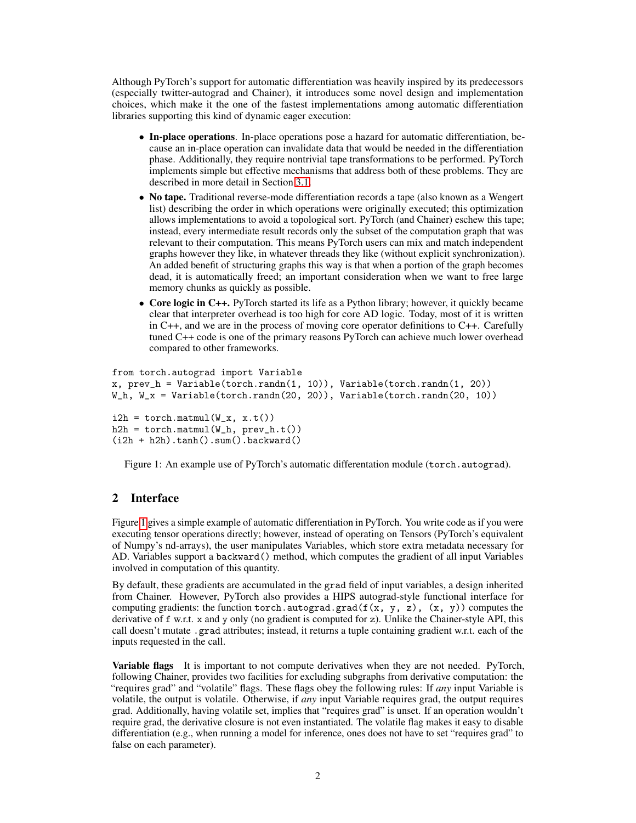Although PyTorch's support for automatic differentiation was heavily inspired by its predecessors (especially twitter-autograd and Chainer), it introduces some novel design and implementation choices, which make it the one of the fastest implementations among automatic differentiation libraries supporting this kind of dynamic eager execution:

- In-place operations. In-place operations pose a hazard for automatic differentiation, because an in-place operation can invalidate data that would be needed in the differentiation phase. Additionally, they require nontrivial tape transformations to be performed. PyTorch implements simple but effective mechanisms that address both of these problems. They are described in more detail in Section [3.1.](#page-2-0)
- No tape. Traditional reverse-mode differentiation records a tape (also known as a Wengert list) describing the order in which operations were originally executed; this optimization allows implementations to avoid a topological sort. PyTorch (and Chainer) eschew this tape; instead, every intermediate result records only the subset of the computation graph that was relevant to their computation. This means PyTorch users can mix and match independent graphs however they like, in whatever threads they like (without explicit synchronization). An added benefit of structuring graphs this way is that when a portion of the graph becomes dead, it is automatically freed; an important consideration when we want to free large memory chunks as quickly as possible.
- Core logic in C++. PyTorch started its life as a Python library; however, it quickly became clear that interpreter overhead is too high for core AD logic. Today, most of it is written in C++, and we are in the process of moving core operator definitions to C++. Carefully tuned C++ code is one of the primary reasons PyTorch can achieve much lower overhead compared to other frameworks.

```
from torch.autograd import Variable
x, prev_h = Variable(torch.randn(1, 10)), Variable(torch.randn(1, 20))
W_h, W_x = Variable(torch.randn(20, 20)), Variable(torch.randn(20, 10))
i2h = \text{torch.matmul}(W_x, x.t())h2h = \text{torch.matmul}(W_h, prev_h.t())(i2h + h2h) .tanh() .sum() .backward()
```
<span id="page-1-0"></span>Figure 1: An example use of PyTorch's automatic differentation module (torch.autograd).

# 2 Interface

Figure [1](#page-1-0) gives a simple example of automatic differentiation in PyTorch. You write code as if you were executing tensor operations directly; however, instead of operating on Tensors (PyTorch's equivalent of Numpy's nd-arrays), the user manipulates Variables, which store extra metadata necessary for AD. Variables support a backward() method, which computes the gradient of all input Variables involved in computation of this quantity.

By default, these gradients are accumulated in the grad field of input variables, a design inherited from Chainer. However, PyTorch also provides a HIPS autograd-style functional interface for computing gradients: the function torch.autograd.grad( $f(x, y, z)$ ,  $(x, y)$ ) computes the derivative of f w.r.t. x and y only (no gradient is computed for z). Unlike the Chainer-style API, this call doesn't mutate .grad attributes; instead, it returns a tuple containing gradient w.r.t. each of the inputs requested in the call.

Variable flags It is important to not compute derivatives when they are not needed. PyTorch, following Chainer, provides two facilities for excluding subgraphs from derivative computation: the "requires grad" and "volatile" flags. These flags obey the following rules: If *any* input Variable is volatile, the output is volatile. Otherwise, if *any* input Variable requires grad, the output requires grad. Additionally, having volatile set, implies that "requires grad" is unset. If an operation wouldn't require grad, the derivative closure is not even instantiated. The volatile flag makes it easy to disable differentiation (e.g., when running a model for inference, ones does not have to set "requires grad" to false on each parameter).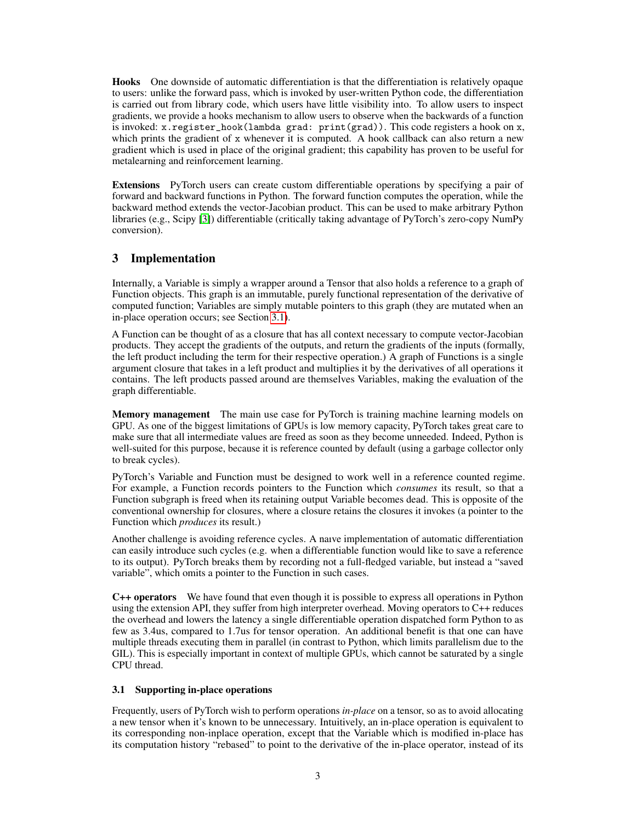Hooks One downside of automatic differentiation is that the differentiation is relatively opaque to users: unlike the forward pass, which is invoked by user-written Python code, the differentiation is carried out from library code, which users have little visibility into. To allow users to inspect gradients, we provide a hooks mechanism to allow users to observe when the backwards of a function is invoked: x.register\_hook(lambda grad: print(grad)). This code registers a hook on x, which prints the gradient of x whenever it is computed. A hook callback can also return a new gradient which is used in place of the original gradient; this capability has proven to be useful for metalearning and reinforcement learning.

Extensions PyTorch users can create custom differentiable operations by specifying a pair of forward and backward functions in Python. The forward function computes the operation, while the backward method extends the vector-Jacobian product. This can be used to make arbitrary Python libraries (e.g., Scipy [\[3\]](#page-3-5)) differentiable (critically taking advantage of PyTorch's zero-copy NumPy conversion).

# 3 Implementation

Internally, a Variable is simply a wrapper around a Tensor that also holds a reference to a graph of Function objects. This graph is an immutable, purely functional representation of the derivative of computed function; Variables are simply mutable pointers to this graph (they are mutated when an in-place operation occurs; see Section [3.1\)](#page-2-0).

A Function can be thought of as a closure that has all context necessary to compute vector-Jacobian products. They accept the gradients of the outputs, and return the gradients of the inputs (formally, the left product including the term for their respective operation.) A graph of Functions is a single argument closure that takes in a left product and multiplies it by the derivatives of all operations it contains. The left products passed around are themselves Variables, making the evaluation of the graph differentiable.

Memory management The main use case for PyTorch is training machine learning models on GPU. As one of the biggest limitations of GPUs is low memory capacity, PyTorch takes great care to make sure that all intermediate values are freed as soon as they become unneeded. Indeed, Python is well-suited for this purpose, because it is reference counted by default (using a garbage collector only to break cycles).

PyTorch's Variable and Function must be designed to work well in a reference counted regime. For example, a Function records pointers to the Function which *consumes* its result, so that a Function subgraph is freed when its retaining output Variable becomes dead. This is opposite of the conventional ownership for closures, where a closure retains the closures it invokes (a pointer to the Function which *produces* its result.)

Another challenge is avoiding reference cycles. A naıve implementation of automatic differentiation can easily introduce such cycles (e.g. when a differentiable function would like to save a reference to its output). PyTorch breaks them by recording not a full-fledged variable, but instead a "saved variable", which omits a pointer to the Function in such cases.

C++ operators We have found that even though it is possible to express all operations in Python using the extension API, they suffer from high interpreter overhead. Moving operators to  $C++$  reduces the overhead and lowers the latency a single differentiable operation dispatched form Python to as few as 3.4us, compared to 1.7us for tensor operation. An additional benefit is that one can have multiple threads executing them in parallel (in contrast to Python, which limits parallelism due to the GIL). This is especially important in context of multiple GPUs, which cannot be saturated by a single CPU thread.

#### <span id="page-2-0"></span>3.1 Supporting in-place operations

Frequently, users of PyTorch wish to perform operations *in-place* on a tensor, so as to avoid allocating a new tensor when it's known to be unnecessary. Intuitively, an in-place operation is equivalent to its corresponding non-inplace operation, except that the Variable which is modified in-place has its computation history "rebased" to point to the derivative of the in-place operator, instead of its